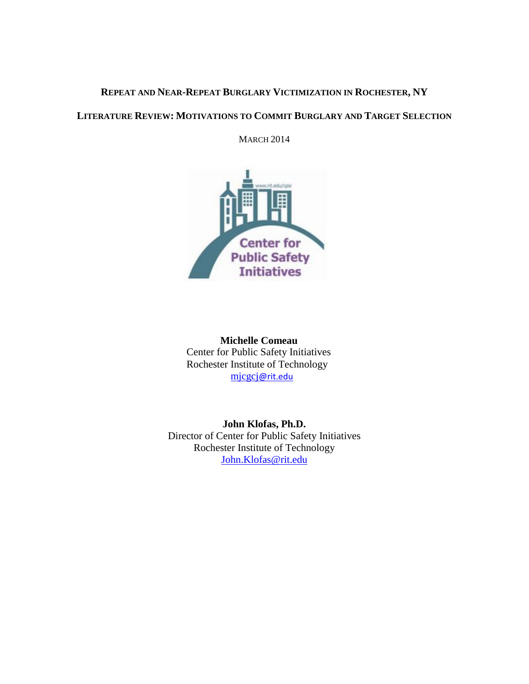# **REPEAT AND NEAR-REPEAT BURGLARY VICTIMIZATION IN ROCHESTER, NY**

## **LITERATURE REVIEW: MOTIVATIONS TO COMMIT BURGLARY AND TARGET SELECTION**

**MARCH 2014** 



 **Michelle Comeau** Center for Public Safety Initiatives Rochester Institute of Technology mjcgcj[@rit.edu](mailto:mjcgcj@rit.edu)

**John Klofas, Ph.D.** Director of Center for Public Safety Initiatives Rochester Institute of Technology [John.Klofas@rit.edu](mailto:John.Klofas@rit.edu)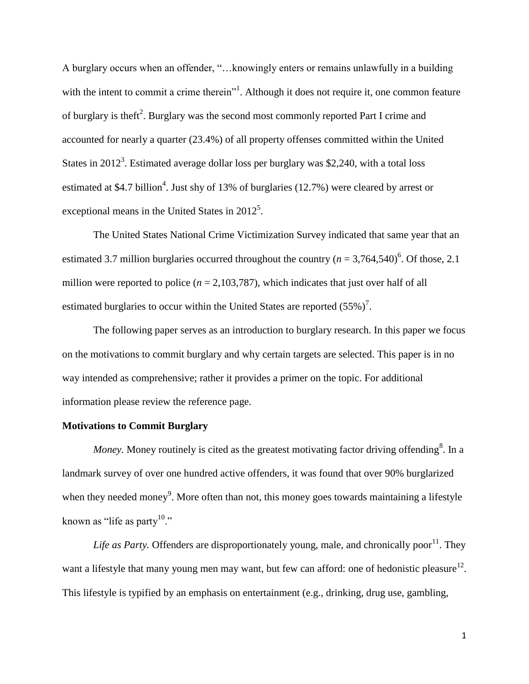A burglary occurs when an offender, "…knowingly enters or remains unlawfully in a building with the intent to commit a crime therein"<sup>1</sup>. Although it does not require it, one common feature of burglary is theft<sup>2</sup>. Burglary was the second most commonly reported Part I crime and accounted for nearly a quarter (23.4%) of all property offenses committed within the United States in 2012<sup>3</sup>. Estimated average dollar loss per burglary was \$2,240, with a total loss estimated at \$4.7 billion<sup>4</sup>. Just shy of 13% of burglaries  $(12.7%)$  were cleared by arrest or exceptional means in the United States in  $2012^5$ .

The United States National Crime Victimization Survey indicated that same year that an estimated 3.7 million burglaries occurred throughout the country  $(n = 3,764,540)^6$ . Of those, 2.1 million were reported to police  $(n = 2,103,787)$ , which indicates that just over half of all estimated burglaries to occur within the United States are reported  $(55\%)^7$ .

The following paper serves as an introduction to burglary research. In this paper we focus on the motivations to commit burglary and why certain targets are selected. This paper is in no way intended as comprehensive; rather it provides a primer on the topic. For additional information please review the reference page.

#### **Motivations to Commit Burglary**

*Money*. Money routinely is cited as the greatest motivating factor driving offending<sup>8</sup>. In a landmark survey of over one hundred active offenders, it was found that over 90% burglarized when they needed money<sup>9</sup>. More often than not, this money goes towards maintaining a lifestyle known as "life as party $10$ ."

Life as Party. Offenders are disproportionately young, male, and chronically poor<sup>11</sup>. They want a lifestyle that many young men may want, but few can afford: one of hedonistic pleasure<sup>12</sup>. This lifestyle is typified by an emphasis on entertainment (e.g., drinking, drug use, gambling,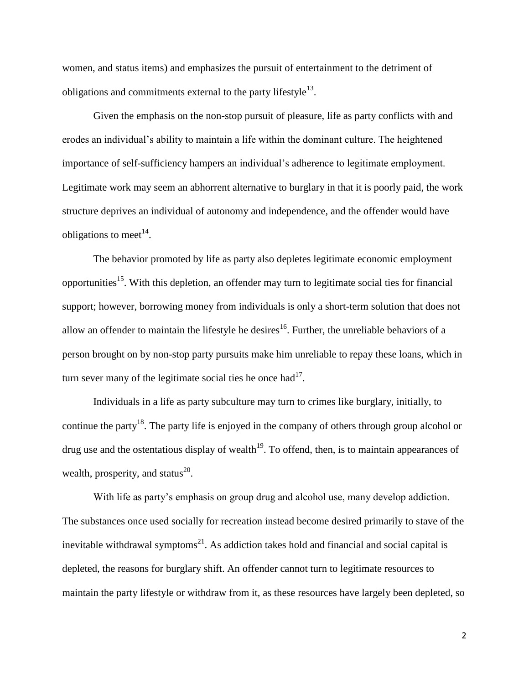women, and status items) and emphasizes the pursuit of entertainment to the detriment of obligations and commitments external to the party lifestyle $^{13}$ .

Given the emphasis on the non-stop pursuit of pleasure, life as party conflicts with and erodes an individual's ability to maintain a life within the dominant culture. The heightened importance of self-sufficiency hampers an individual's adherence to legitimate employment. Legitimate work may seem an abhorrent alternative to burglary in that it is poorly paid, the work structure deprives an individual of autonomy and independence, and the offender would have obligations to meet<sup>14</sup>.

The behavior promoted by life as party also depletes legitimate economic employment opportunities<sup>15</sup>. With this depletion, an offender may turn to legitimate social ties for financial support; however, borrowing money from individuals is only a short-term solution that does not allow an offender to maintain the lifestyle he desires<sup>16</sup>. Further, the unreliable behaviors of a person brought on by non-stop party pursuits make him unreliable to repay these loans, which in turn sever many of the legitimate social ties he once had $17$ .

Individuals in a life as party subculture may turn to crimes like burglary, initially, to continue the party<sup>18</sup>. The party life is enjoyed in the company of others through group alcohol or drug use and the ostentatious display of wealth<sup>19</sup>. To offend, then, is to maintain appearances of wealth, prosperity, and status $^{20}$ .

With life as party's emphasis on group drug and alcohol use, many develop addiction. The substances once used socially for recreation instead become desired primarily to stave of the inevitable withdrawal symptoms $^{21}$ . As addiction takes hold and financial and social capital is depleted, the reasons for burglary shift. An offender cannot turn to legitimate resources to maintain the party lifestyle or withdraw from it, as these resources have largely been depleted, so

2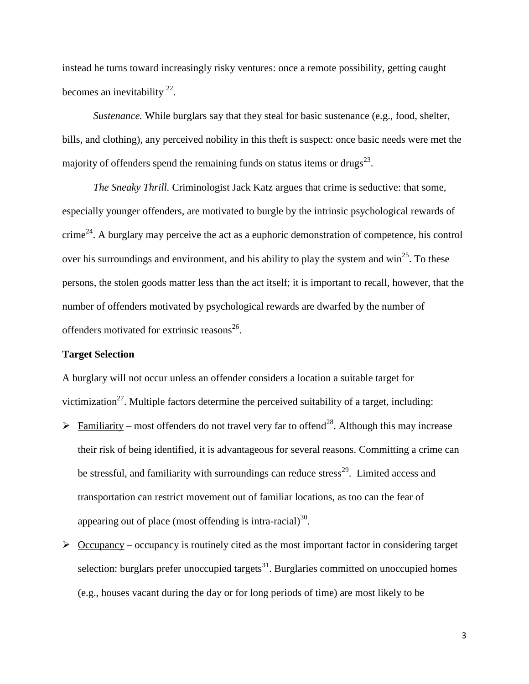instead he turns toward increasingly risky ventures: once a remote possibility, getting caught becomes an inevitability  $2^2$ .

*Sustenance.* While burglars say that they steal for basic sustenance (e.g., food, shelter, bills, and clothing), any perceived nobility in this theft is suspect: once basic needs were met the majority of offenders spend the remaining funds on status items or drugs $^{23}$ .

*The Sneaky Thrill.* Criminologist Jack Katz argues that crime is seductive: that some, especially younger offenders, are motivated to burgle by the intrinsic psychological rewards of crime<sup>24</sup>. A burglary may perceive the act as a euphoric demonstration of competence, his control over his surroundings and environment, and his ability to play the system and win<sup>25</sup>. To these persons, the stolen goods matter less than the act itself; it is important to recall, however, that the number of offenders motivated by psychological rewards are dwarfed by the number of offenders motivated for extrinsic reasons<sup>26</sup>.

#### **Target Selection**

A burglary will not occur unless an offender considers a location a suitable target for victimization<sup>27</sup>. Multiple factors determine the perceived suitability of a target, including:

- Familiarity most offenders do not travel very far to offend<sup>28</sup>. Although this may increase their risk of being identified, it is advantageous for several reasons. Committing a crime can be stressful, and familiarity with surroundings can reduce stress<sup>29</sup>. Limited access and transportation can restrict movement out of familiar locations, as too can the fear of appearing out of place (most offending is intra-racial) $^{30}$ .
- $\geq$  Occupancy occupancy is routinely cited as the most important factor in considering target selection: burglars prefer unoccupied targets $31$ . Burglaries committed on unoccupied homes (e.g., houses vacant during the day or for long periods of time) are most likely to be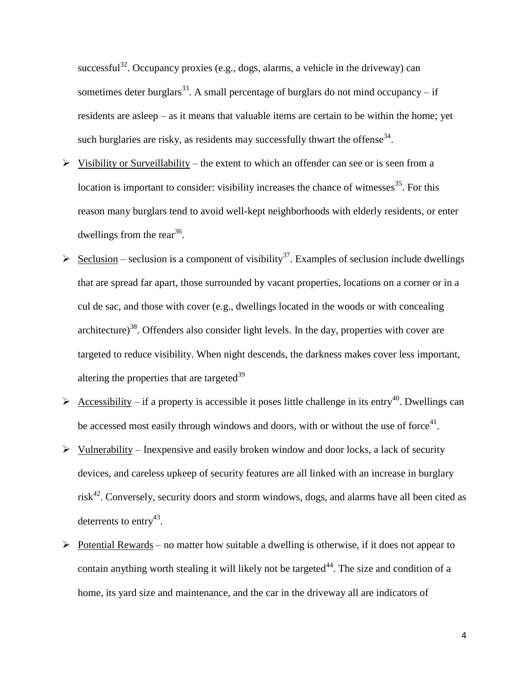successful<sup>32</sup>. Occupancy proxies (e.g., dogs, alarms, a vehicle in the driveway) can sometimes deter burglars<sup>33</sup>. A small percentage of burglars do not mind occupancy – if residents are asleep – as it means that valuable items are certain to be within the home; yet such burglaries are risky, as residents may successfully thwart the offense<sup>34</sup>.

- $\triangleright$  Visibility or Surveillability the extent to which an offender can see or is seen from a location is important to consider: visibility increases the chance of witnesses  $35$ . For this reason many burglars tend to avoid well-kept neighborhoods with elderly residents, or enter dwellings from the rear<sup>36</sup>.
- $\triangleright$  Seclusion seclusion is a component of visibility<sup>37</sup>. Examples of seclusion include dwellings that are spread far apart, those surrounded by vacant properties, locations on a corner or in a cul de sac, and those with cover (e.g., dwellings located in the woods or with concealing architecture)<sup>38</sup>. Offenders also consider light levels. In the day, properties with cover are targeted to reduce visibility. When night descends, the darkness makes cover less important, altering the properties that are targeted $39$
- Accessibility if a property is accessible it poses little challenge in its entry<sup>40</sup>. Dwellings can be accessed most easily through windows and doors, with or without the use of force<sup>41</sup>.
- $\triangleright$  Vulnerability Inexpensive and easily broken window and door locks, a lack of security devices, and careless upkeep of security features are all linked with an increase in burglary risk<sup>42</sup>. Conversely, security doors and storm windows, dogs, and alarms have all been cited as deterrents to entry<sup>43</sup>.
- $\triangleright$  Potential Rewards no matter how suitable a dwelling is otherwise, if it does not appear to contain anything worth stealing it will likely not be targeted<sup> $44$ </sup>. The size and condition of a home, its yard size and maintenance, and the car in the driveway all are indicators of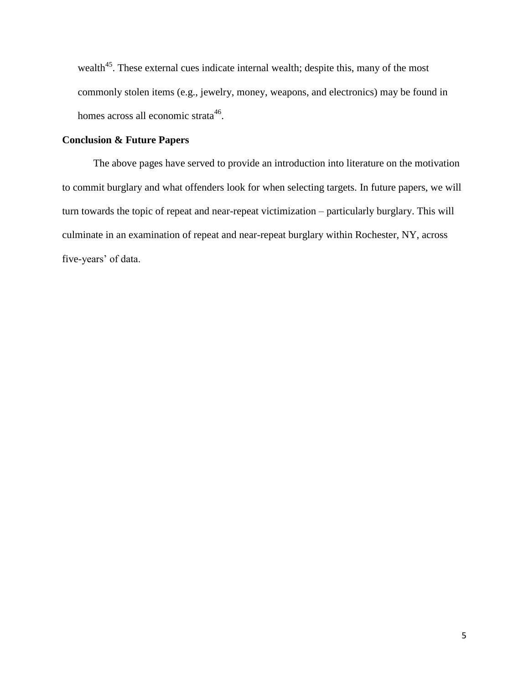wealth<sup>45</sup>. These external cues indicate internal wealth; despite this, many of the most commonly stolen items (e.g., jewelry, money, weapons, and electronics) may be found in homes across all economic strata<sup>46</sup>.

## **Conclusion & Future Papers**

The above pages have served to provide an introduction into literature on the motivation to commit burglary and what offenders look for when selecting targets. In future papers, we will turn towards the topic of repeat and near-repeat victimization – particularly burglary. This will culminate in an examination of repeat and near-repeat burglary within Rochester, NY, across five-years' of data.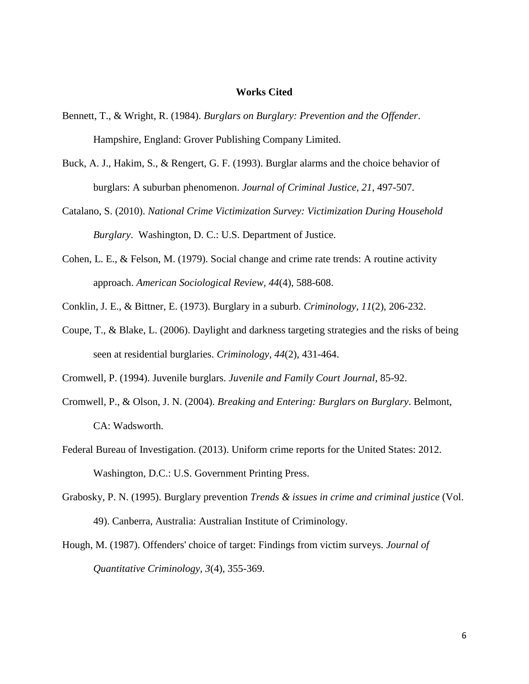### **Works Cited**

- Bennett, T., & Wright, R. (1984). *Burglars on Burglary: Prevention and the Offender*. Hampshire, England: Grover Publishing Company Limited.
- Buck, A. J., Hakim, S., & Rengert, G. F. (1993). Burglar alarms and the choice behavior of burglars: A suburban phenomenon. *Journal of Criminal Justice, 21*, 497-507.
- Catalano, S. (2010). *National Crime Victimization Survey: Victimization During Household Burglary*. Washington, D. C.: U.S. Department of Justice.
- Cohen, L. E., & Felson, M. (1979). Social change and crime rate trends: A routine activity approach. *American Sociological Review, 44*(4), 588-608.
- Conklin, J. E., & Bittner, E. (1973). Burglary in a suburb. *Criminology, 11*(2), 206-232.
- Coupe, T., & Blake, L. (2006). Daylight and darkness targeting strategies and the risks of being seen at residential burglaries. *Criminology, 44*(2), 431-464.
- Cromwell, P. (1994). Juvenile burglars. *Juvenile and Family Court Journal*, 85-92.
- Cromwell, P., & Olson, J. N. (2004). *Breaking and Entering: Burglars on Burglary*. Belmont, CA: Wadsworth.
- Federal Bureau of Investigation. (2013). Uniform crime reports for the United States: 2012. Washington, D.C.: U.S. Government Printing Press.
- Grabosky, P. N. (1995). Burglary prevention *Trends & issues in crime and criminal justice* (Vol. 49). Canberra, Australia: Australian Institute of Criminology.
- Hough, M. (1987). Offenders' choice of target: Findings from victim surveys. *Journal of Quantitative Criminology, 3*(4), 355-369.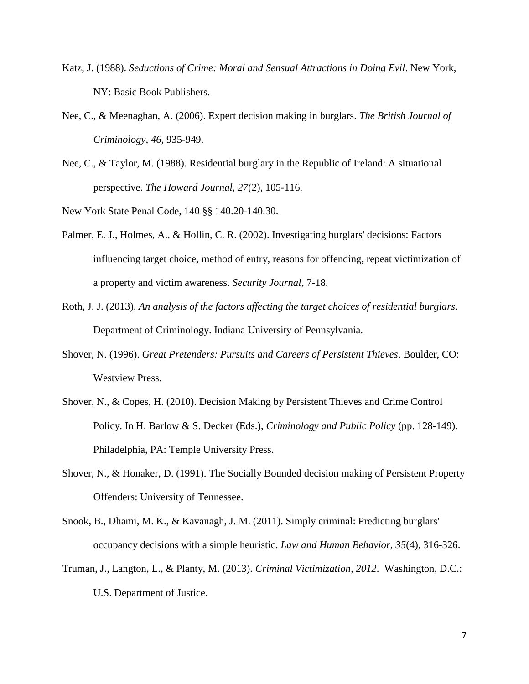- Katz, J. (1988). *Seductions of Crime: Moral and Sensual Attractions in Doing Evil*. New York, NY: Basic Book Publishers.
- Nee, C., & Meenaghan, A. (2006). Expert decision making in burglars. *The British Journal of Criminology, 46*, 935-949.
- Nee, C., & Taylor, M. (1988). Residential burglary in the Republic of Ireland: A situational perspective. *The Howard Journal, 27*(2), 105-116.

New York State Penal Code, 140 §§ 140.20-140.30.

- Palmer, E. J., Holmes, A., & Hollin, C. R. (2002). Investigating burglars' decisions: Factors influencing target choice, method of entry, reasons for offending, repeat victimization of a property and victim awareness. *Security Journal*, 7-18.
- Roth, J. J. (2013). *An analysis of the factors affecting the target choices of residential burglars*. Department of Criminology. Indiana University of Pennsylvania.
- Shover, N. (1996). *Great Pretenders: Pursuits and Careers of Persistent Thieves*. Boulder, CO: Westview Press.
- Shover, N., & Copes, H. (2010). Decision Making by Persistent Thieves and Crime Control Policy. In H. Barlow & S. Decker (Eds.), *Criminology and Public Policy* (pp. 128-149). Philadelphia, PA: Temple University Press.
- Shover, N., & Honaker, D. (1991). The Socially Bounded decision making of Persistent Property Offenders: University of Tennessee.
- Snook, B., Dhami, M. K., & Kavanagh, J. M. (2011). Simply criminal: Predicting burglars' occupancy decisions with a simple heuristic. *Law and Human Behavior, 35*(4), 316-326.
- Truman, J., Langton, L., & Planty, M. (2013). *Criminal Victimization, 2012*. Washington, D.C.: U.S. Department of Justice.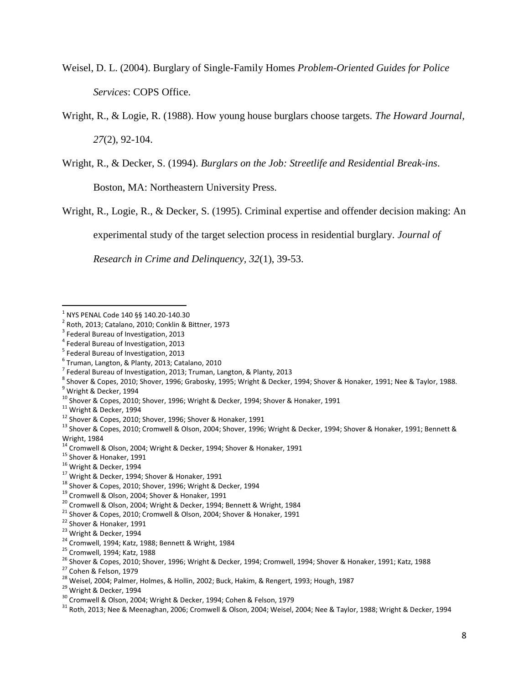Weisel, D. L. (2004). Burglary of Single-Family Homes *Problem-Oriented Guides for Police Services*: COPS Office.

Wright, R., & Logie, R. (1988). How young house burglars choose targets. *The Howard Journal, 27*(2), 92-104.

Wright, R., & Decker, S. (1994). *Burglars on the Job: Streetlife and Residential Break-ins*.

Boston, MA: Northeastern University Press.

Wright, R., Logie, R., & Decker, S. (1995). Criminal expertise and offender decision making: An

experimental study of the target selection process in residential burglary. *Journal of* 

*Research in Crime and Delinquency, 32*(1), 39-53.

 $\overline{a}$  $^{\rm 1}$  NYS PENAL Code 140 §§ 140.20-140.30

<sup>2</sup> Roth, 2013; Catalano, 2010; Conklin & Bittner, 1973

<sup>&</sup>lt;sup>3</sup> Federal Bureau of Investigation, 2013

<sup>4</sup> Federal Bureau of Investigation, 2013

<sup>&</sup>lt;sup>5</sup> Federal Bureau of Investigation, 2013

<sup>6</sup> Truman, Langton, & Planty, 2013; Catalano, 2010

<sup>&</sup>lt;sup>7</sup> Federal Bureau of Investigation, 2013; Truman, Langton, & Planty, 2013

 $^8$  Shover & Copes, 2010; Shover, 1996; Grabosky, 1995; Wright & Decker, 1994; Shover & Honaker, 1991; Nee & Taylor, 1988.

<sup>&</sup>lt;sup>9</sup> Wright & Decker, 1994

<sup>10</sup> Shover & Copes, 2010; Shover, 1996; Wright & Decker, 1994; Shover & Honaker, 1991

 $11$  Wright & Decker, 1994

<sup>12</sup> Shover & Copes, 2010; Shover, 1996; Shover & Honaker, 1991

<sup>13</sup> Shover & Copes, 2010; Cromwell & Olson, 2004; Shover, 1996; Wright & Decker, 1994; Shover & Honaker, 1991; Bennett & Wright, 1984

<sup>&</sup>lt;sup>14</sup> Cromwell & Olson, 2004; Wright & Decker, 1994; Shover & Honaker, 1991

<sup>15</sup> Shover & Honaker, 1991

<sup>&</sup>lt;sup>16</sup> Wright & Decker, 1994

<sup>&</sup>lt;sup>17</sup> Wright & Decker, 1994; Shover & Honaker, 1991

<sup>&</sup>lt;sup>18</sup> Shover & Copes, 2010; Shover, 1996; Wright & Decker, 1994

<sup>&</sup>lt;sup>19</sup> Cromwell & Olson, 2004; Shover & Honaker, 1991

<sup>20</sup> Cromwell & Olson, 2004; Wright & Decker, 1994; Bennett & Wright, 1984

<sup>21</sup> Shover & Copes, 2010; Cromwell & Olson, 2004; Shover & Honaker, 1991

<sup>22</sup> Shover & Honaker, 1991

<sup>&</sup>lt;sup>23</sup> Wright & Decker, 1994

<sup>24</sup> Cromwell, 1994; Katz, 1988; Bennett & Wright, 1984

<sup>25</sup> Cromwell, 1994; Katz, 1988

<sup>26</sup> Shover & Copes, 2010; Shover, 1996; Wright & Decker, 1994; Cromwell, 1994; Shover & Honaker, 1991; Katz, 1988

<sup>27</sup> Cohen & Felson, 1979

<sup>&</sup>lt;sup>28</sup> Weisel, 2004; Palmer, Holmes, & Hollin, 2002; Buck, Hakim, & Rengert, 1993; Hough, 1987

<sup>&</sup>lt;sup>29</sup> Wright & Decker, 1994

<sup>30</sup> Cromwell & Olson, 2004; Wright & Decker, 1994; Cohen & Felson, 1979

 $31$  Roth, 2013; Nee & Meenaghan, 2006; Cromwell & Olson, 2004; Weisel, 2004; Nee & Taylor, 1988; Wright & Decker, 1994